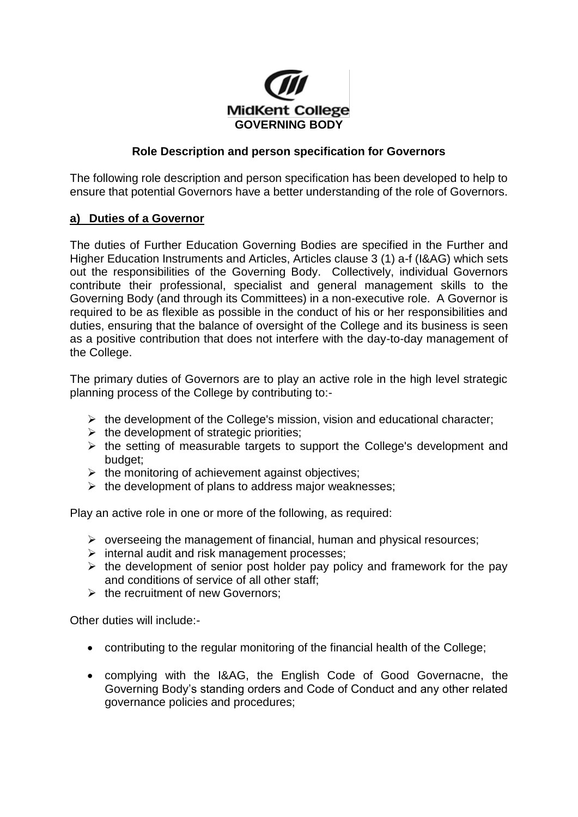

## **Role Description and person specification for Governors**

The following role description and person specification has been developed to help to ensure that potential Governors have a better understanding of the role of Governors.

## **a) Duties of a Governor**

The duties of Further Education Governing Bodies are specified in the Further and Higher Education Instruments and Articles, Articles clause 3 (1) a-f (I&AG) which sets out the responsibilities of the Governing Body. Collectively, individual Governors contribute their professional, specialist and general management skills to the Governing Body (and through its Committees) in a non-executive role. A Governor is required to be as flexible as possible in the conduct of his or her responsibilities and duties, ensuring that the balance of oversight of the College and its business is seen as a positive contribution that does not interfere with the day-to-day management of the College.

The primary duties of Governors are to play an active role in the high level strategic planning process of the College by contributing to:-

- $\triangleright$  the development of the College's mission, vision and educational character;
- $\triangleright$  the development of strategic priorities;
- $\triangleright$  the setting of measurable targets to support the College's development and budget;
- $\triangleright$  the monitoring of achievement against objectives:
- $\triangleright$  the development of plans to address major weaknesses;

Play an active role in one or more of the following, as required:

- $\triangleright$  overseeing the management of financial, human and physical resources;
- $\triangleright$  internal audit and risk management processes;
- $\triangleright$  the development of senior post holder pay policy and framework for the pay and conditions of service of all other staff;
- $\triangleright$  the recruitment of new Governors:

Other duties will include:-

- contributing to the regular monitoring of the financial health of the College;
- complying with the I&AG, the English Code of Good Governacne, the Governing Body's standing orders and Code of Conduct and any other related governance policies and procedures;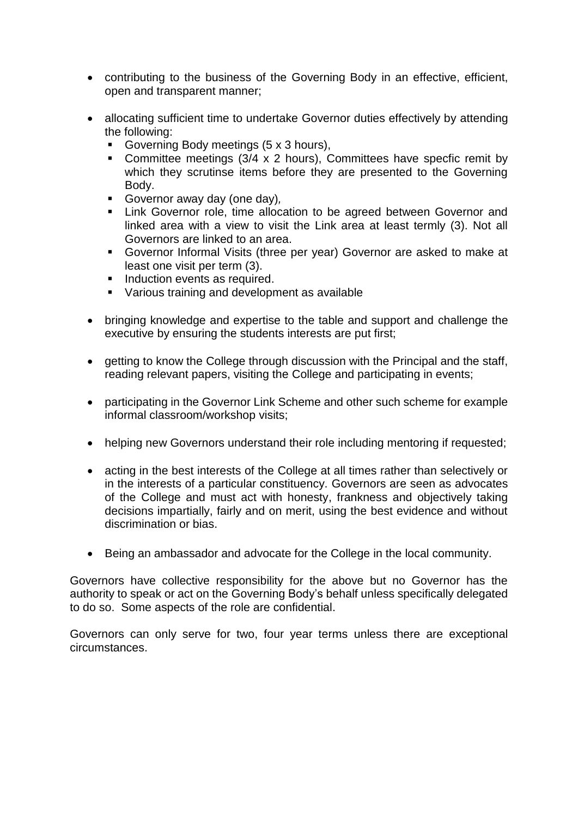- contributing to the business of the Governing Body in an effective, efficient, open and transparent manner;
- allocating sufficient time to undertake Governor duties effectively by attending the following:
	- Governing Body meetings (5 x 3 hours),
	- Committee meetings (3/4 x 2 hours), Committees have specfic remit by which they scrutinse items before they are presented to the Governing Body.
	- Governor away day (one day)*,*
	- **EXTE:** Link Governor role, time allocation to be agreed between Governor and linked area with a view to visit the Link area at least termly (3). Not all Governors are linked to an area.
	- Governor Informal Visits (three per year) Governor are asked to make at least one visit per term (3).
	- **Induction events as required.**
	- Various training and development as available
- bringing knowledge and expertise to the table and support and challenge the executive by ensuring the students interests are put first;
- getting to know the College through discussion with the Principal and the staff, reading relevant papers, visiting the College and participating in events;
- participating in the Governor Link Scheme and other such scheme for example informal classroom/workshop visits;
- helping new Governors understand their role including mentoring if requested:
- acting in the best interests of the College at all times rather than selectively or in the interests of a particular constituency. Governors are seen as advocates of the College and must act with honesty, frankness and objectively taking decisions impartially, fairly and on merit, using the best evidence and without discrimination or bias.
- Being an ambassador and advocate for the College in the local community.

Governors have collective responsibility for the above but no Governor has the authority to speak or act on the Governing Body's behalf unless specifically delegated to do so. Some aspects of the role are confidential.

Governors can only serve for two, four year terms unless there are exceptional circumstances.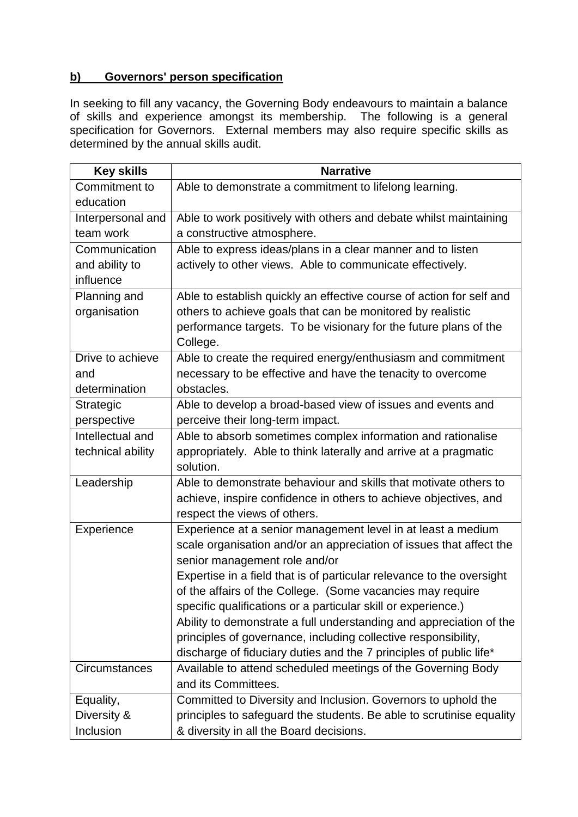## **b) Governors' person specification**

In seeking to fill any vacancy, the Governing Body endeavours to maintain a balance of skills and experience amongst its membership. The following is a general specification for Governors. External members may also require specific skills as determined by the annual skills audit.

| <b>Key skills</b> | <b>Narrative</b>                                                      |
|-------------------|-----------------------------------------------------------------------|
| Commitment to     | Able to demonstrate a commitment to lifelong learning.                |
| education         |                                                                       |
| Interpersonal and | Able to work positively with others and debate whilst maintaining     |
| team work         | a constructive atmosphere.                                            |
| Communication     | Able to express ideas/plans in a clear manner and to listen           |
| and ability to    | actively to other views. Able to communicate effectively.             |
| influence         |                                                                       |
| Planning and      | Able to establish quickly an effective course of action for self and  |
| organisation      | others to achieve goals that can be monitored by realistic            |
|                   | performance targets. To be visionary for the future plans of the      |
|                   | College.                                                              |
| Drive to achieve  | Able to create the required energy/enthusiasm and commitment          |
| and               | necessary to be effective and have the tenacity to overcome           |
| determination     | obstacles.                                                            |
| Strategic         | Able to develop a broad-based view of issues and events and           |
| perspective       | perceive their long-term impact.                                      |
| Intellectual and  | Able to absorb sometimes complex information and rationalise          |
| technical ability | appropriately. Able to think laterally and arrive at a pragmatic      |
|                   | solution.                                                             |
| Leadership        | Able to demonstrate behaviour and skills that motivate others to      |
|                   | achieve, inspire confidence in others to achieve objectives, and      |
|                   | respect the views of others.                                          |
| Experience        | Experience at a senior management level in at least a medium          |
|                   | scale organisation and/or an appreciation of issues that affect the   |
|                   | senior management role and/or                                         |
|                   | Expertise in a field that is of particular relevance to the oversight |
|                   | of the affairs of the College. (Some vacancies may require            |
|                   | specific qualifications or a particular skill or experience.)         |
|                   | Ability to demonstrate a full understanding and appreciation of the   |
|                   | principles of governance, including collective responsibility,        |
|                   | discharge of fiduciary duties and the 7 principles of public life*    |
| Circumstances     | Available to attend scheduled meetings of the Governing Body          |
|                   | and its Committees.                                                   |
| Equality,         | Committed to Diversity and Inclusion. Governors to uphold the         |
| Diversity &       | principles to safeguard the students. Be able to scrutinise equality  |
| Inclusion         | & diversity in all the Board decisions.                               |